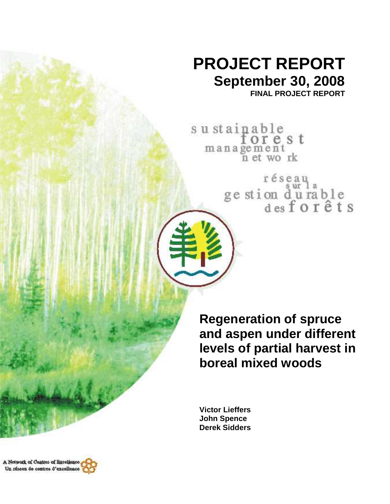# **PROJECT REPORT September 30, 2008**

**FINAL PROJECT REPORT** 

sustainable<br>forest management<br>n et work

réseau<br>ge stion d'urable<br>des forêts

**Regeneration of spruce and aspen under different levels of partial harvest in boreal mixed woods** 

**Victor Lieffers John Spence Derek Sidders** 

A Network of Cantres of Baceliance, Un réseau de centres d'excellence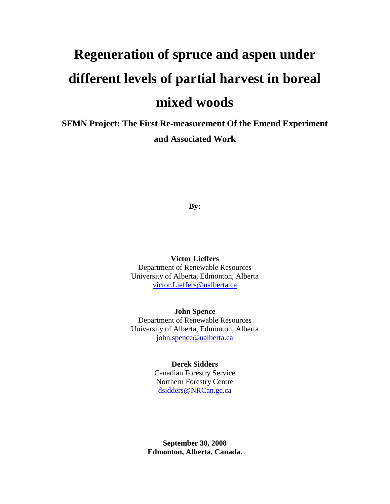# **Regeneration of spruce and aspen under different levels of partial harvest in boreal mixed woods**

**SFMN Project: The First Re-measurement Of the Emend Experiment and Associated Work** 

**By:** 

**Victor Lieffers**  Department of Renewable Resources University of Alberta, Edmonton, Alberta victor.Lieffers@ualberta.ca

**John Spence**  Department of Renewable Resources University of Alberta, Edmonton, Alberta john.spence@ualberta.ca

#### **Derek Sidders**

Canadian Forestry Service Northern Forestry Centre dsidders@NRCan.gc.ca

**September 30, 2008 Edmonton, Alberta, Canada.**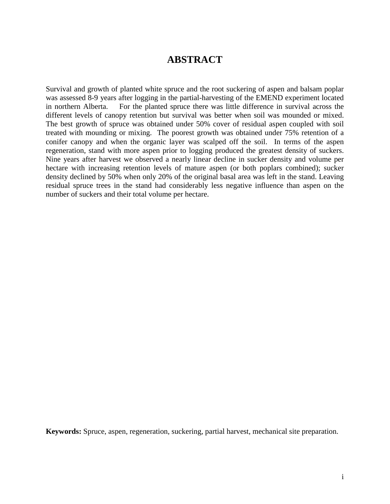## **ABSTRACT**

Survival and growth of planted white spruce and the root suckering of aspen and balsam poplar was assessed 8-9 years after logging in the partial-harvesting of the EMEND experiment located in northern Alberta. For the planted spruce there was little difference in survival across the different levels of canopy retention but survival was better when soil was mounded or mixed. The best growth of spruce was obtained under 50% cover of residual aspen coupled with soil treated with mounding or mixing. The poorest growth was obtained under 75% retention of a conifer canopy and when the organic layer was scalped off the soil. In terms of the aspen regeneration, stand with more aspen prior to logging produced the greatest density of suckers. Nine years after harvest we observed a nearly linear decline in sucker density and volume per hectare with increasing retention levels of mature aspen (or both poplars combined); sucker density declined by 50% when only 20% of the original basal area was left in the stand. Leaving residual spruce trees in the stand had considerably less negative influence than aspen on the number of suckers and their total volume per hectare.

**Keywords:** Spruce, aspen, regeneration, suckering, partial harvest, mechanical site preparation.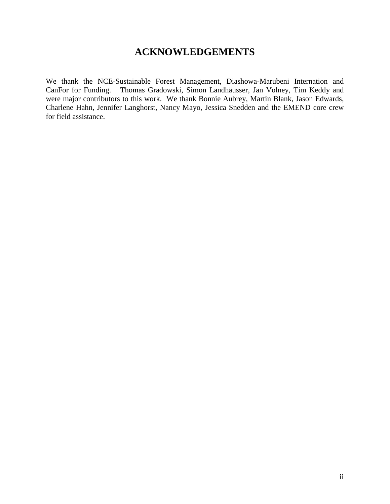## **ACKNOWLEDGEMENTS**

We thank the NCE-Sustainable Forest Management, Diashowa-Marubeni Internation and CanFor for Funding. Thomas Gradowski, Simon Landhäusser, Jan Volney, Tim Keddy and were major contributors to this work. We thank Bonnie Aubrey, Martin Blank, Jason Edwards, Charlene Hahn, Jennifer Langhorst, Nancy Mayo, Jessica Snedden and the EMEND core crew for field assistance.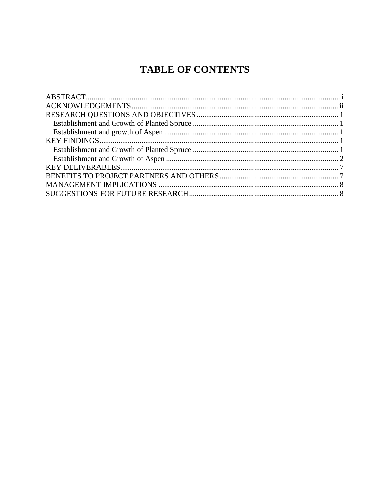# **TABLE OF CONTENTS**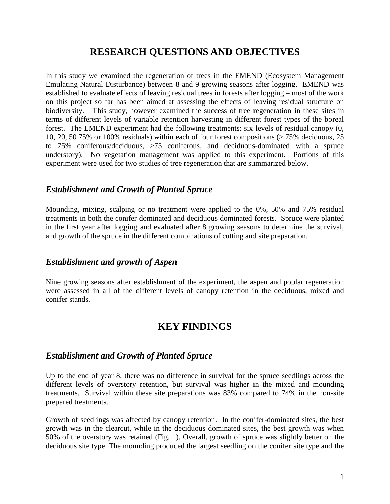## **RESEARCH QUESTIONS AND OBJECTIVES**

In this study we examined the regeneration of trees in the EMEND (Ecosystem Management Emulating Natural Disturbance) between 8 and 9 growing seasons after logging. EMEND was established to evaluate effects of leaving residual trees in forests after logging – most of the work on this project so far has been aimed at assessing the effects of leaving residual structure on biodiversity. This study, however examined the success of tree regeneration in these sites in terms of different levels of variable retention harvesting in different forest types of the boreal forest. The EMEND experiment had the following treatments: six levels of residual canopy (0, 10, 20, 50 75% or 100% residuals) within each of four forest compositions (> 75% deciduous, 25 to 75% coniferous/deciduous, >75 coniferous, and deciduous-dominated with a spruce understory). No vegetation management was applied to this experiment. Portions of this experiment were used for two studies of tree regeneration that are summarized below.

#### *Establishment and Growth of Planted Spruce*

Mounding, mixing, scalping or no treatment were applied to the 0%, 50% and 75% residual treatments in both the conifer dominated and deciduous dominated forests. Spruce were planted in the first year after logging and evaluated after 8 growing seasons to determine the survival, and growth of the spruce in the different combinations of cutting and site preparation.

#### *Establishment and growth of Aspen*

Nine growing seasons after establishment of the experiment, the aspen and poplar regeneration were assessed in all of the different levels of canopy retention in the deciduous, mixed and conifer stands.

### **KEY FINDINGS**

#### *Establishment and Growth of Planted Spruce*

Up to the end of year 8, there was no difference in survival for the spruce seedlings across the different levels of overstory retention, but survival was higher in the mixed and mounding treatments. Survival within these site preparations was 83% compared to 74% in the non-site prepared treatments.

Growth of seedlings was affected by canopy retention. In the conifer-dominated sites, the best growth was in the clearcut, while in the deciduous dominated sites, the best growth was when 50% of the overstory was retained (Fig. 1). Overall, growth of spruce was slightly better on the deciduous site type. The mounding produced the largest seedling on the conifer site type and the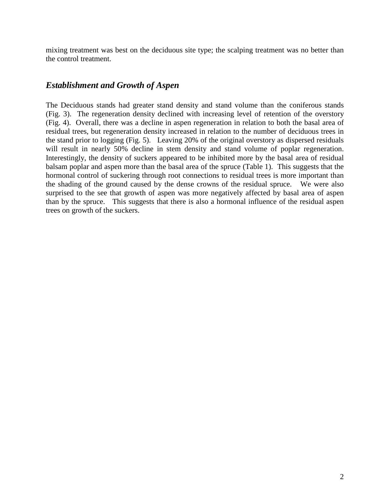mixing treatment was best on the deciduous site type; the scalping treatment was no better than the control treatment.

#### *Establishment and Growth of Aspen*

The Deciduous stands had greater stand density and stand volume than the coniferous stands (Fig. 3). The regeneration density declined with increasing level of retention of the overstory (Fig. 4). Overall, there was a decline in aspen regeneration in relation to both the basal area of residual trees, but regeneration density increased in relation to the number of deciduous trees in the stand prior to logging (Fig. 5). Leaving 20% of the original overstory as dispersed residuals will result in nearly 50% decline in stem density and stand volume of poplar regeneration. Interestingly, the density of suckers appeared to be inhibited more by the basal area of residual balsam poplar and aspen more than the basal area of the spruce (Table 1). This suggests that the hormonal control of suckering through root connections to residual trees is more important than the shading of the ground caused by the dense crowns of the residual spruce. We were also surprised to the see that growth of aspen was more negatively affected by basal area of aspen than by the spruce. This suggests that there is also a hormonal influence of the residual aspen trees on growth of the suckers.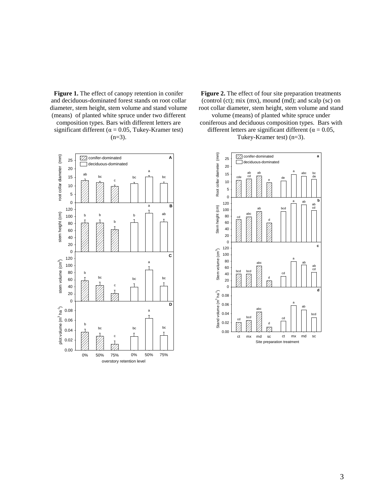**Figure 1.** The effect of canopy retention in conifer and deciduous-dominated forest stands on root collar diameter, stem height, stem volume and stand volume (means) of planted white spruce under two different composition types. Bars with different letters are significant different ( $\alpha$  = 0.05, Tukey-Kramer test)  $(n=3)$ .

Figure 2. The effect of four site preparation treatments (control (ct); mix (mx), mound (md); and scalp (sc) on root collar diameter, stem height, stem volume and stand volume (means) of planted white spruce under coniferous and deciduous composition types. Bars with different letters are significant different ( $\alpha = 0.05$ , Tukey-Kramer test) (n=3).



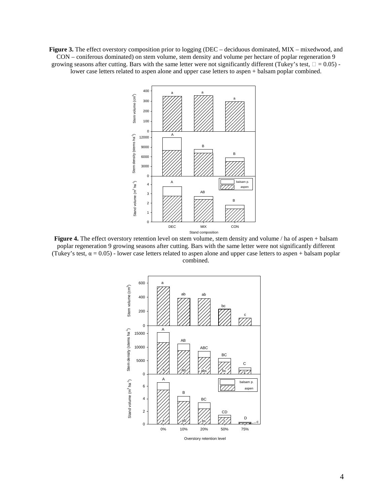**Figure 3.** The effect overstory composition prior to logging (DEC – deciduous dominated, MIX – mixedwood, and CON – coniferous dominated) on stem volume, stem density and volume per hectare of poplar regeneration 9 growing seasons after cutting. Bars with the same letter were not significantly different (Tukey's test,  $\Box = 0.05$ ) lower case letters related to aspen alone and upper case letters to aspen + balsam poplar combined.



**Figure 4.** The effect overstory retention level on stem volume, stem density and volume / ha of aspen + balsam poplar regeneration 9 growing seasons after cutting. Bars with the same letter were not significantly different (Tukey's test,  $\alpha = 0.05$ ) - lower case letters related to aspen alone and upper case letters to aspen + balsam poplar combined.

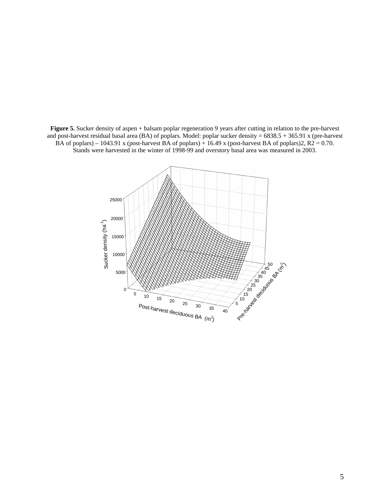**Figure 5.** Sucker density of aspen + balsam poplar regeneration 9 years after cutting in relation to the pre-harvest and post-harvest residual basal area (BA) of poplars. Model: poplar sucker density = 6838.5 + 365.91 x (pre-harvest BA of poplars) – 1043.91 x (post-harvest BA of poplars) + 16.49 x (post-harvest BA of poplars)2,  $R2 = 0.70$ . Stands were harvested in the winter of 1998-99 and overstory basal area was measured in 2003.

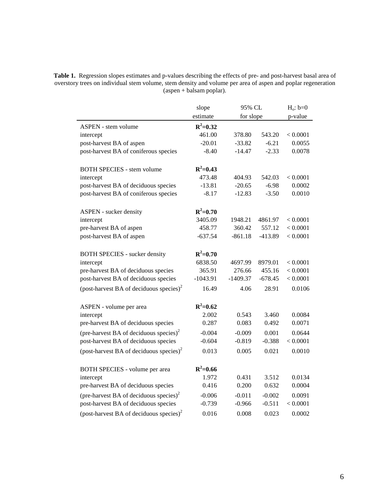**Table 1.** Regression slopes estimates and p-values describing the effects of pre- and post-harvest basal area of overstory trees on individual stem volume, stem density and volume per area of aspen and poplar regeneration (aspen + balsam poplar).

|                                                     | slope        | 95% CL     |           | $H_0: b=0$ |
|-----------------------------------------------------|--------------|------------|-----------|------------|
|                                                     | estimate     | for slope  |           | p-value    |
| <b>ASPEN</b> - stem volume                          | $R^2 = 0.32$ |            |           |            |
| intercept                                           | 461.00       | 378.80     | 543.20    | < 0.0001   |
| post-harvest BA of aspen                            | $-20.01$     | $-33.82$   | $-6.21$   | 0.0055     |
| post-harvest BA of coniferous species               | $-8.40$      | $-14.47$   | $-2.33$   | 0.0078     |
|                                                     |              |            |           |            |
| <b>BOTH SPECIES - stem volume</b>                   | $R^2 = 0.43$ |            |           |            |
| intercept                                           | 473.48       | 404.93     | 542.03    | < 0.0001   |
| post-harvest BA of deciduous species                | $-13.81$     | $-20.65$   | $-6.98$   | 0.0002     |
| post-harvest BA of coniferous species               | $-8.17$      | $-12.83$   | $-3.50$   | 0.0010     |
|                                                     |              |            |           |            |
| ASPEN - sucker density                              | $R^2 = 0.70$ |            |           |            |
| intercept                                           | 3405.09      | 1948.21    | 4861.97   | < 0.0001   |
| pre-harvest BA of aspen                             | 458.77       | 360.42     | 557.12    | < 0.0001   |
| post-harvest BA of aspen                            | $-637.54$    | $-861.18$  | $-413.89$ | < 0.0001   |
|                                                     |              |            |           |            |
| <b>BOTH SPECIES</b> - sucker density                | $R^2 = 0.70$ |            |           |            |
| intercept                                           | 6838.50      | 4697.99    | 8979.01   | < 0.0001   |
| pre-harvest BA of deciduous species                 | 365.91       | 276.66     | 455.16    | < 0.0001   |
| post-harvest BA of deciduous species                | $-1043.91$   | $-1409.37$ | $-678.45$ | < 0.0001   |
| (post-harvest BA of deciduous species) <sup>2</sup> | 16.49        | 4.06       | 28.91     | 0.0106     |
|                                                     |              |            |           |            |
| ASPEN - volume per area                             | $R^2 = 0.62$ |            |           |            |
| intercept                                           | 2.002        | 0.543      | 3.460     | 0.0084     |
| pre-harvest BA of deciduous species                 | 0.287        | 0.083      | 0.492     | 0.0071     |
| (pre-harvest BA of deciduous species) <sup>2</sup>  | $-0.004$     | $-0.009$   | 0.001     | 0.0644     |
| post-harvest BA of deciduous species                | $-0.604$     | $-0.819$   | $-0.388$  | < 0.0001   |
| (post-harvest BA of deciduous species) <sup>2</sup> | 0.013        | 0.005      | 0.021     | 0.0010     |
|                                                     |              |            |           |            |
| BOTH SPECIES - volume per area                      | $R^2 = 0.66$ |            |           |            |
| intercept                                           | 1.972        | 0.431      | 3.512     | 0.0134     |
| pre-harvest BA of deciduous species                 | 0.416        | 0.200      | 0.632     | 0.0004     |
| (pre-harvest BA of deciduous species) <sup>2</sup>  | $-0.006$     | $-0.011$   | $-0.002$  | 0.0091     |
| post-harvest BA of deciduous species                | $-0.739$     | $-0.966$   | $-0.511$  | < 0.0001   |
| (post-harvest BA of deciduous species) <sup>2</sup> | 0.016        | 0.008      | 0.023     | 0.0002     |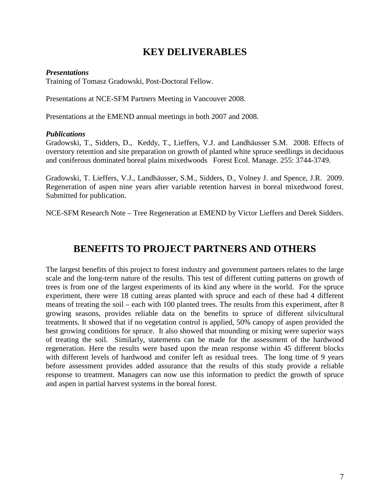## **KEY DELIVERABLES**

#### *Presentations*

Training of Tomasz Gradowski, Post-Doctoral Fellow.

Presentations at NCE-SFM Partners Meeting in Vancouver 2008.

Presentations at the EMEND annual meetings in both 2007 and 2008.

#### *Publications*

Gradowski, T., Sidders, D., Keddy, T., Lieffers, V.J. and Landhäusser S.M. 2008. Effects of overstory retention and site preparation on growth of planted white spruce seedlings in deciduous and coniferous dominated boreal plains mixedwoods Forest Ecol. Manage. 255: 3744-3749.

Gradowski, T. Lieffers, V.J., Landhäusser, S.M., Sidders, D., Volney J. and Spence, J.R. 2009. Regeneration of aspen nine years after variable retention harvest in boreal mixedwood forest. Submitted for publication.

NCE-SFM Research Note – Tree Regeneration at EMEND by Victor Lieffers and Derek Sidders.

## **BENEFITS TO PROJECT PARTNERS AND OTHERS**

The largest benefits of this project to forest industry and government partners relates to the large scale and the long-term nature of the results. This test of different cutting patterns on growth of trees is from one of the largest experiments of its kind any where in the world. For the spruce experiment, there were 18 cutting areas planted with spruce and each of these had 4 different means of treating the soil – each with 100 planted trees. The results from this experiment, after 8 growing seasons, provides reliable data on the benefits to spruce of different silvicultural treatments. It showed that if no vegetation control is applied, 50% canopy of aspen provided the best growing conditions for spruce. It also showed that mounding or mixing were superior ways of treating the soil. Similarly, statements can be made for the assessment of the hardwood regeneration. Here the results were based upon the mean response within 45 different blocks with different levels of hardwood and conifer left as residual trees. The long time of 9 years before assessment provides added assurance that the results of this study provide a reliable response to treatment. Managers can now use this information to predict the growth of spruce and aspen in partial harvest systems in the boreal forest.